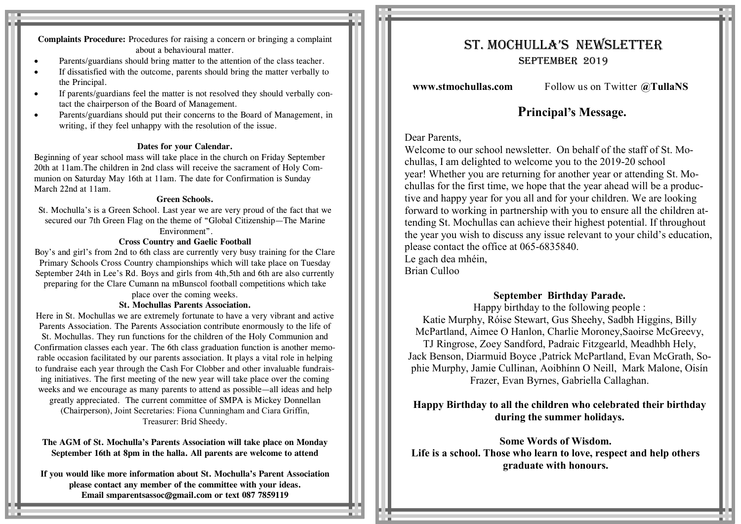**Complaints Procedure:** Procedures for raising a concern or bringing a complaint about a behavioural matter.

- Parents/guardians should bring matter to the attention of the class teacher.
- If dissatisfied with the outcome, parents should bring the matter verbally to the Principal.
- If parents/guardians feel the matter is not resolved they should verbally contact the chairperson of the Board of Management.
- Parents/guardians should put their concerns to the Board of Management, in writing, if they feel unhappy with the resolution of the issue.

#### **Dates for your Calendar.**

Beginning of year school mass will take place in the church on Friday September 20th at 11am.The children in 2nd class will receive the sacrament of Holy Communion on Saturday May 16th at 11am. The date for Confirmation is Sunday March 22nd at 11am.

#### **Green Schools.**

St. Mochulla's is a Green School. Last year we are very proud of the fact that we secured our 7th Green Flag on the theme of "Global Citizenship—The Marine Environment".

#### **Cross Country and Gaelic Football**

Boy's and girl's from 2nd to 6th class are currently very busy training for the Clare Primary Schools Cross Country championships which will take place on Tuesday September 24th in Lee's Rd. Boys and girls from 4th,5th and 6th are also currently preparing for the Clare Cumann na mBunscol football competitions which take

place over the coming weeks.

#### **St. Mochullas Parents Association.**

Here in St. Mochullas we are extremely fortunate to have a very vibrant and active Parents Association. The Parents Association contribute enormously to the life of St. Mochullas. They run functions for the children of the Holy Communion and Confirmation classes each year. The 6th class graduation function is another memorable occasion facilitated by our parents association. It plays a vital role in helping to fundraise each year through the Cash For Clobber and other invaluable fundraising initiatives. The first meeting of the new year will take place over the coming weeks and we encourage as many parents to attend as possible—all ideas and help greatly appreciated. The current committee of SMPA is Mickey Donnellan (Chairperson), Joint Secretaries: Fiona Cunningham and Ciara Griffin, Treasurer: Bríd Sheedy.

**The AGM of St. Mochulla's Parents Association will take place on Monday September 16th at 8pm in the halla. All parents are welcome to attend**

**If you would like more information about St. Mochulla's Parent Association please contact any member of the committee with your ideas. Email smparentsassoc@gmail.com or text 087 7859119**

# St. Mochulla'S NewSletter September 2019

**www.stmochullas.com** Follow us on Twitter **@TullaNS**

## **Principal's Message.**

#### Dear Parents,

Welcome to our school newsletter. On behalf of the staff of St. Mochullas, I am delighted to welcome you to the 2019-20 school year! Whether you are returning for another year or attending St. Mochullas for the first time, we hope that the year ahead will be a productive and happy year for you all and for your children. We are looking forward to working in partnership with you to ensure all the children attending St. Mochullas can achieve their highest potential. If throughout the year you wish to discuss any issue relevant to your child's education, please contact the office at 065-6835840. Le gach dea mhéin,

Brian Culloo

### **September Birthday Parade.**

Happy birthday to the following people : Katie Murphy, Róise Stewart, Gus Sheehy, Sadbh Higgins, Billy McPartland, Aimee O Hanlon, Charlie Moroney,Saoirse McGreevy, TJ Ringrose, Zoey Sandford, Padraic Fitzgearld, Meadhbh Hely, Jack Benson, Diarmuid Boyce ,Patrick McPartland, Evan McGrath, Sophie Murphy, Jamie Cullinan, Aoibhínn O Neill, Mark Malone, Oisín Frazer, Evan Byrnes, Gabriella Callaghan.

## **Happy Birthday to all the children who celebrated their birthday during the summer holidays.**

**Some Words of Wisdom. Life is a school. Those who learn to love, respect and help others graduate with honours.**